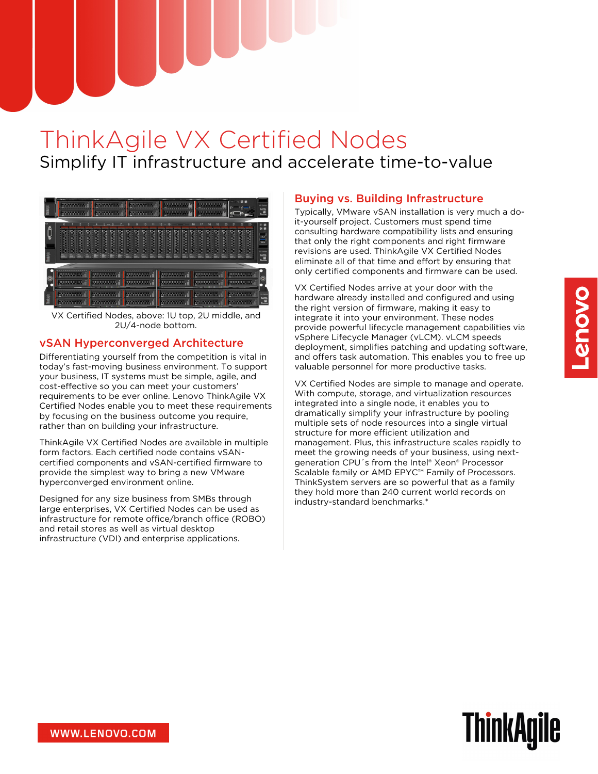# ThinkAgile VX Certified Nodes Simplify IT infrastructure and accelerate time-to-value



VX Certified Nodes, above: 1U top, 2U middle, and 2U/4-node bottom.

## vSAN Hyperconverged Architecture

Differentiating yourself from the competition is vital in today's fast-moving business environment. To support your business, IT systems must be simple, agile, and cost-effective so you can meet your customers' requirements to be ever online. Lenovo ThinkAgile VX Certified Nodes enable you to meet these requirements by focusing on the business outcome you require, rather than on building your infrastructure.

ThinkAgile VX Certified Nodes are available in multiple form factors. Each certified node contains vSANcertified components and vSAN-certified firmware to provide the simplest way to bring a new VMware hyperconverged environment online.

Designed for any size business from SMBs through large enterprises, VX Certified Nodes can be used as infrastructure for remote office/branch office (ROBO) and retail stores as well as virtual desktop infrastructure (VDI) and enterprise applications.

## Buying vs. Building Infrastructure

Typically, VMware vSAN installation is very much a doit-yourself project. Customers must spend time consulting hardware compatibility lists and ensuring that only the right components and right firmware revisions are used. ThinkAgile VX Certified Nodes eliminate all of that time and effort by ensuring that only certified components and firmware can be used.

VX Certified Nodes arrive at your door with the hardware already installed and configured and using the right version of firmware, making it easy to integrate it into your environment. These nodes provide powerful lifecycle management capabilities via vSphere Lifecycle Manager (vLCM). vLCM speeds deployment, simplifies patching and updating software, and offers task automation. This enables you to free up valuable personnel for more productive tasks.

VX Certified Nodes are simple to manage and operate. With compute, storage, and virtualization resources integrated into a single node, it enables you to dramatically simplify your infrastructure by pooling multiple sets of node resources into a single virtual structure for more efficient utilization and management. Plus, this infrastructure scales rapidly to meet the growing needs of your business, using nextgeneration CPU´s from the Intel® Xeon® Processor Scalable family or AMD EPYC™ Family of Processors. ThinkSystem servers are so powerful that as a family they hold more than 240 current world records on industry-standard benchmarks.\*

**ThinkAgile**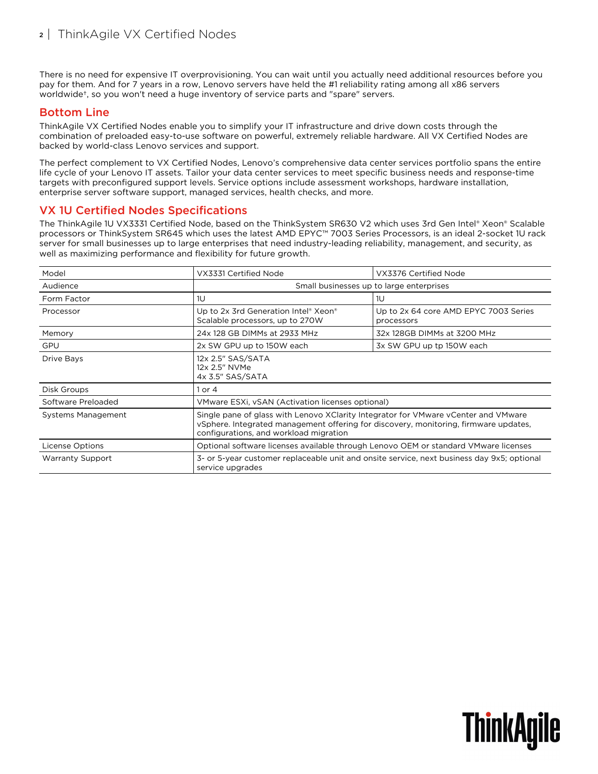There is no need for expensive IT overprovisioning. You can wait until you actually need additional resources before you pay for them. And for 7 years in a row, Lenovo servers have held the #1 reliability rating among all x86 servers worldwide†, so you won't need a huge inventory of service parts and "spare" servers.

#### Bottom Line

ThinkAgile VX Certified Nodes enable you to simplify your IT infrastructure and drive down costs through the combination of preloaded easy-to-use software on powerful, extremely reliable hardware. All VX Certified Nodes are backed by world-class Lenovo services and support.

The perfect complement to VX Certified Nodes, Lenovo's comprehensive data center services portfolio spans the entire life cycle of your Lenovo IT assets. Tailor your data center services to meet specific business needs and response-time targets with preconfigured support levels. Service options include assessment workshops, hardware installation, enterprise server software support, managed services, health checks, and more.

## VX 1U Certified Nodes Specifications

The ThinkAgile 1U VX3331 Certified Node, based on the ThinkSystem SR630 V2 which uses 3rd Gen Intel® Xeon® Scalable processors or ThinkSystem SR645 which uses the latest AMD EPYC™ 7003 Series Processors, is an ideal 2-socket 1U rack server for small businesses up to large enterprises that need industry-leading reliability, management, and security, as well as maximizing performance and flexibility for future growth.

| Model                   | VX3331 Certified Node                                                                                                                                                                                                | VX3376 Certified Node                               |
|-------------------------|----------------------------------------------------------------------------------------------------------------------------------------------------------------------------------------------------------------------|-----------------------------------------------------|
| Audience                | Small businesses up to large enterprises                                                                                                                                                                             |                                                     |
| Form Factor             | 1U                                                                                                                                                                                                                   | 1U                                                  |
| Processor               | Up to 2x 3rd Generation Intel <sup>®</sup> Xeon <sup>®</sup><br>Scalable processors, up to 270W                                                                                                                      | Up to 2x 64 core AMD EPYC 7003 Series<br>processors |
| Memory                  | 24x 128 GB DIMMs at 2933 MHz                                                                                                                                                                                         | 32x 128GB DIMMs at 3200 MHz                         |
| <b>GPU</b>              | 2x SW GPU up to 150W each                                                                                                                                                                                            | 3x SW GPU up tp 150W each                           |
| Drive Bays              | 12x 2.5" SAS/SATA<br>12x 2.5" NVMe<br>4x 3.5" SAS/SATA                                                                                                                                                               |                                                     |
| Disk Groups             | or $4$                                                                                                                                                                                                               |                                                     |
| Software Preloaded      | VMware ESXI, vSAN (Activation licenses optional)                                                                                                                                                                     |                                                     |
| Systems Management      | Single pane of glass with Lenovo XClarity Integrator for VMware vCenter and VMware<br>vSphere. Integrated management offering for discovery, monitoring, firmware updates,<br>configurations, and workload migration |                                                     |
| License Options         | Optional software licenses available through Lenovo OEM or standard VMware licenses                                                                                                                                  |                                                     |
| <b>Warranty Support</b> | 3- or 5-year customer replaceable unit and onsite service, next business day 9x5; optional<br>service upgrades                                                                                                       |                                                     |

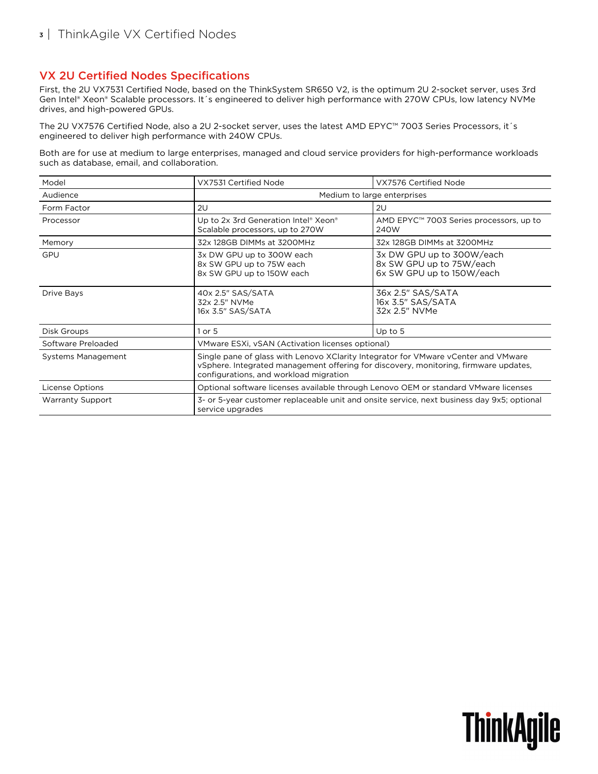## VX 2U Certified Nodes Specifications

First, the 2U VX7531 Certified Node, based on the ThinkSystem SR650 V2, is the optimum 2U 2-socket server, uses 3rd Gen Intel® Xeon® Scalable processors. It´s engineered to deliver high performance with 270W CPUs, low latency NVMe drives, and high-powered GPUs.

The 2U VX7576 Certified Node, also a 2U 2-socket server, uses the latest AMD EPYC™ 7003 Series Processors, it´s engineered to deliver high performance with 240W CPUs.

Both are for use at medium to large enterprises, managed and cloud service providers for high-performance workloads such as database, email, and collaboration.

| Model                     | VX7531 Certified Node                                                                                                                                                                                                | VX7576 Certified Node                                                              |
|---------------------------|----------------------------------------------------------------------------------------------------------------------------------------------------------------------------------------------------------------------|------------------------------------------------------------------------------------|
| Audience                  | Medium to large enterprises                                                                                                                                                                                          |                                                                                    |
| Form Factor               | 2U                                                                                                                                                                                                                   | 2U                                                                                 |
| Processor                 | Up to 2x 3rd Generation Intel <sup>®</sup> Xeon <sup>®</sup><br>Scalable processors, up to 270W                                                                                                                      | AMD EPYC™ 7003 Series processors, up to<br>240W                                    |
| Memory                    | 32x 128GB DIMMs at 3200MHz                                                                                                                                                                                           | 32x 128GB DIMMs at 3200MHz                                                         |
| GPU                       | 3x DW GPU up to 300W each<br>8x SW GPU up to 75W each<br>8x SW GPU up to 150W each                                                                                                                                   | 3x DW GPU up to 300W/each<br>8x SW GPU up to 75W/each<br>6x SW GPU up to 150W/each |
| Drive Bays                | 40x 2.5" SAS/SATA<br>32x 2.5" NVMe<br>16x 3.5" SAS/SATA                                                                                                                                                              | 36x 2.5" SAS/SATA<br>16x 3.5" SAS/SATA<br>32x 2.5" NVMe                            |
| Disk Groups               | $1$ or $5$                                                                                                                                                                                                           | Up to $5$                                                                          |
| Software Preloaded        | VMware ESXi, vSAN (Activation licenses optional)                                                                                                                                                                     |                                                                                    |
| <b>Systems Management</b> | Single pane of glass with Lenovo XClarity Integrator for VMware vCenter and VMware<br>vSphere. Integrated management offering for discovery, monitoring, firmware updates,<br>configurations, and workload migration |                                                                                    |
| <b>License Options</b>    | Optional software licenses available through Lenovo OEM or standard VMware licenses                                                                                                                                  |                                                                                    |
| <b>Warranty Support</b>   | 3- or 5-year customer replaceable unit and onsite service, next business day 9x5; optional<br>service upgrades                                                                                                       |                                                                                    |